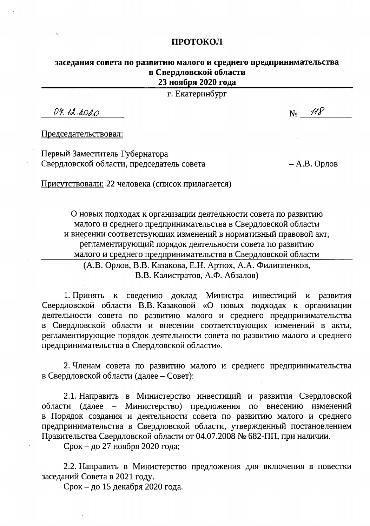#### ПРОТОКОЛ

### заседания совета по развитию малого и среднего предпринимательства в Свердловской области 23 ноября 2020 года

г. Екатеринбург

 $D4.12.0020$ 

Председательствовал:

Первый Заместитель Губернатора Свердловской области, председатель совета

– А.В. Орлов

Присутствовали: 22 человека (список прилагается)

О новых подходах к организации деятельности совета по развитию малого и среднего предпринимательства в Свердловской области и внесении соответствующих изменений в нормативный правовой акт, регламентирующий порядок деятельности совета по развитию малого и среднего предпринимательства в Свердловской области

(А.В. Орлов, В.В. Казакова, Е.Н. Артюх, А.А. Филиппенков, В.В. Калистратов, А.Ф. Абзалов)

1. Принять к сведению доклад Министра инвестиций и развития Свердловской области В.В. Казаковой «О новых подходах к организации деятельности совета по развитию малого и среднего предпринимательства в Свердловской области и внесении соответствующих изменений в акты, регламентирующие порядок деятельности совета по развитию малого и среднего предпринимательства в Свердловской области».

2. Членам совета по развитию малого и среднего предпринимательства в Свердловской области (далее - Совет):

2.1. Направить в Министерство инвестиций и развития Свердловской области (далее – Министерство) предложения по внесению изменений в Порядок создания и деятельности совета по развитию малого и среднего предпринимательства в Свердловской области, утвержденный постановлением Правительства Свердловской области от 04.07.2008 № 682-ПП, при наличии.

Срок - до 27 ноября 2020 года;

2.2. Направить в Министерство предложения для включения в повестки заседаний Совета в 2021 году.

Срок - до 15 декабря 2020 года.

 $N_2$   $\mathscr{H}$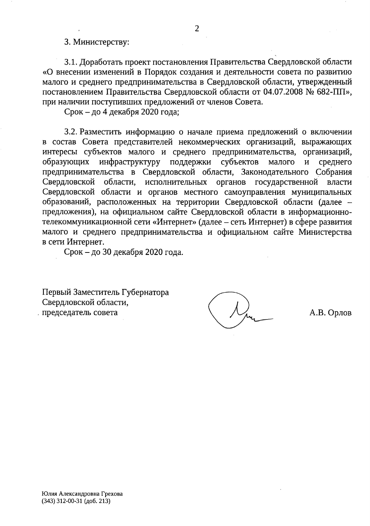#### 3. Министерству:

3.1. Доработать проект постановления Правительства Свердловской области «О внесении изменений в Порядок создания и деятельности совета по развитию малого и среднего предпринимательства в Свердловской области, утвержденный постановлением Правительства Свердловской области от 04.07.2008 № 682-ПП», при наличии поступивших предложений от членов Совета.

Срок – до 4 декабря 2020 года;

3.2. Разместить информацию о начале приема предложений о включении в состав Совета представителей некоммерческих организаций, выражающих интересы субъектов малого и среднего предпринимательства, организаций, инфраструктуру поддержки субъектов образующих малого  $\mathbf{M}$ среднего предпринимательства в Свердловской области, Законодательного Собрания Свердловской области, исполнительных органов государственной власти Свердловской области и органов местного самоуправления муниципальных образований, расположенных на территории Свердловской области (далее предложения), на официальном сайте Свердловской области в информационнотелекоммуникационной сети «Интернет» (далее - сеть Интернет) в сфере развития малого и среднего предпринимательства и официальном сайте Министерства в сети Интернет.

Срок – до 30 декабря 2020 года.

Первый Заместитель Губернатора Свердловской области, председатель совета

А.В. Орлов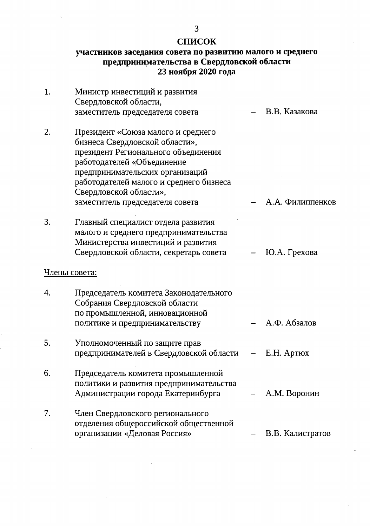## СПИСОК

# участников заседания совета по развитию малого и среднего предпринимательства в Свердловской области<br>23 ноября 2020 года

| 1. | Министр инвестиций и развития                                                                                                                                                                                           |                  |
|----|-------------------------------------------------------------------------------------------------------------------------------------------------------------------------------------------------------------------------|------------------|
|    | Свердловской области,<br>заместитель председателя совета                                                                                                                                                                | В.В. Казакова    |
| 2. | Президент «Союза малого и среднего<br>бизнеса Свердловской области»,<br>президент Регионального объединения<br>работодателей «Объединение<br>предпринимательских организаций<br>работодателей малого и среднего бизнеса |                  |
|    | Свердловской области»,                                                                                                                                                                                                  |                  |
|    | заместитель председателя совета                                                                                                                                                                                         | А.А. Филиппенков |
| 3. | Главный специалист отдела развития<br>малого и среднего предпринимательства<br>Министерства инвестиций и развития                                                                                                       |                  |
|    | Свердловской области, секретарь совета                                                                                                                                                                                  | Ю.А. Грехова     |
|    | Члены совета:                                                                                                                                                                                                           |                  |
| 4. | Председатель комитета Законодательного<br>Собрания Свердловской области<br>по промышленной, инновационной                                                                                                               |                  |
|    | политике и предпринимательству                                                                                                                                                                                          | А.Ф. Абзалов     |
| 5. | Уполномоченный по защите прав<br>предпринимателей в Свердловской области                                                                                                                                                | E.H. Aptrox      |
| 6. | Председатель комитета промышленной<br>политики и развития предпринимательства<br>Администрации города Екатеринбурга                                                                                                     | А.М. Воронин     |
| 7. | Член Свердловского регионального<br>отделения общероссийской общественной<br>организации «Деловая Россия»                                                                                                               | В.В. Калистратов |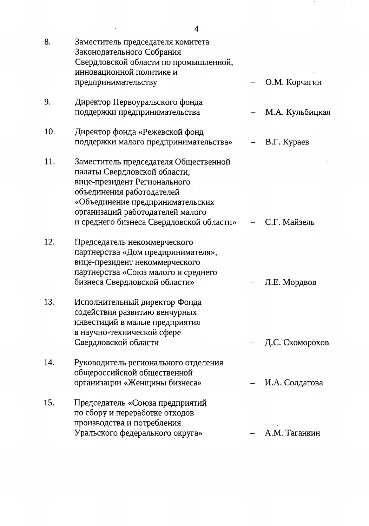| 8.  | Заместитель председателя комитета<br>Законодательного Собрания<br>Свердловской области по промышленной,<br>инновационной политике и                                                                                                                    |                   |
|-----|--------------------------------------------------------------------------------------------------------------------------------------------------------------------------------------------------------------------------------------------------------|-------------------|
|     | предпринимательству                                                                                                                                                                                                                                    | О.М. Корчагин     |
| 9.  | Директор Первоуральского фонда<br>поддержки предпринимательства                                                                                                                                                                                        | М.А. Кульбицкая   |
| 10. | Директор фонда «Режевской фонд<br>поддержки малого предпринимательства»                                                                                                                                                                                | В.Г. Кураев       |
| 11. | Заместитель председателя Общественной<br>палаты Свердловской области,<br>вице-президент Регионального<br>объединения работодателей<br>«Объединение предпринимательских<br>организаций работодателей малого<br>и среднего бизнеса Свердловской области» | - С.Г. Майзель    |
| 12. | Председатель некоммерческого<br>партнерства «Дом предпринимателя»,<br>вице-президент некоммерческого<br>партнерства «Союз малого и среднего<br>бизнеса Свердловской области»                                                                           | Л.Е. Мордвов      |
| 13. | Исполнительный директор Фонда<br>содействия развитию венчурных<br>инвестиций в малые предприятия<br>в научно-технической сфере<br>Свердловской области                                                                                                 | – Д.С. Скоморохов |
| 14. | Руководитель регионального отделения<br>общероссийской общественной<br>организации «Женщины бизнеса»                                                                                                                                                   | И.А. Солдатова    |
| 15. | Председатель «Союза предприятий<br>по сбору и переработке отходов<br>производства и потребления<br>Уральского федерального округа»                                                                                                                     | А.М. Таганкин     |

 $\mathcal{L}^{\text{max}}_{\text{max}}$  , where  $\mathcal{L}^{\text{max}}_{\text{max}}$ 

 $\frac{1}{2}$ 

 $\hat{\mathcal{A}}$ 

 $\frac{1}{\sqrt{2}}\frac{1}{\sqrt{2}}\frac{1}{\sqrt{2}}\left(\frac{1}{2}\right)^{\frac{1}{2}}\frac{1}{\sqrt{2}}\left(\frac{1}{2}\right)^{\frac{1}{2}}\frac{1}{\sqrt{2}}\left(\frac{1}{2}\right)^{\frac{1}{2}}\frac{1}{\sqrt{2}}\left(\frac{1}{2}\right)^{\frac{1}{2}}\frac{1}{\sqrt{2}}\left(\frac{1}{2}\right)^{\frac{1}{2}}\frac{1}{\sqrt{2}}\left(\frac{1}{2}\right)^{\frac{1}{2}}\frac{1}{\sqrt{2}}\left(\frac{1}{2}\right)^{\frac{1}{2}}\frac{1$ 

 $\hat{A}$ 

 $\mathcal{H}$ 

 $\frac{1}{2}$ 

 $\frac{1}{2}$ 

 $\hat{\mathcal{A}}$